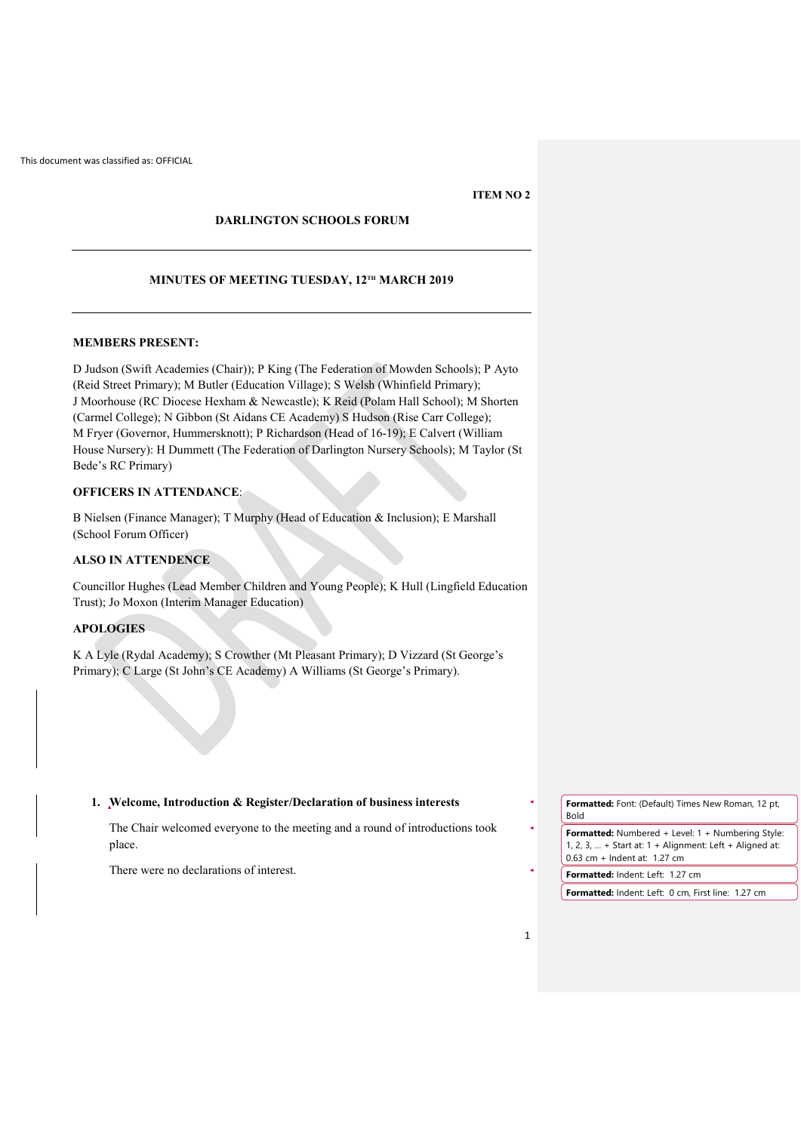## **ITEM NO 2**

# **DARLINGTON SCHOOLS FORUM**

## **MINUTES OF MEETING TUESDAY, 12TH MARCH 2019**

#### **MEMBERS PRESENT:**

D Judson (Swift Academies (Chair)); P King (The Federation of Mowden Schools); P Ayto (Reid Street Primary); M Butler (Education Village); S Welsh (Whinfield Primary); J Moorhouse (RC Diocese Hexham & Newcastle); K Reid (Polam Hall School); M Shorten (Carmel College); N Gibbon (St Aidans CE Academy) S Hudson (Rise Carr College); M Fryer (Governor, Hummersknott); P Richardson (Head of 16-19); E Calvert (William House Nursery): H Dummett (The Federation of Darlington Nursery Schools); M Taylor (St Bede's RC Primary)

# **OFFICERS IN ATTENDANCE**:

B Nielsen (Finance Manager); T Murphy (Head of Education & Inclusion); E Marshall (School Forum Officer)

## **ALSO IN ATTENDENCE**

Councillor Hughes (Lead Member Children and Young People); K Hull (Lingfield Education Trust); Jo Moxon (Interim Manager Education)

# **APOLOGIES**

K A Lyle (Rydal Academy); S Crowther (Mt Pleasant Primary); D Vizzard (St George's Primary); C Large (St John's CE Academy) A Williams (St George's Primary).

#### **1. Welcome, Introduction & Register/Declaration of business interests**

The Chair welcomed everyone to the meeting and a round of introductions took place.

There were no declarations of interest.

**Formatted:** Font: (Default) Times New Roman, 12 pt, Bold

**Formatted:** Numbered + Level: 1 + Numbering Style: 1, 2, 3, … + Start at: 1 + Alignment: Left + Aligned at: 0.63 cm + Indent at: 1.27 cm

**Formatted:** Indent: Left: 1.27 cm

**Formatted:** Indent: Left: 0 cm, First line: 1.27 cm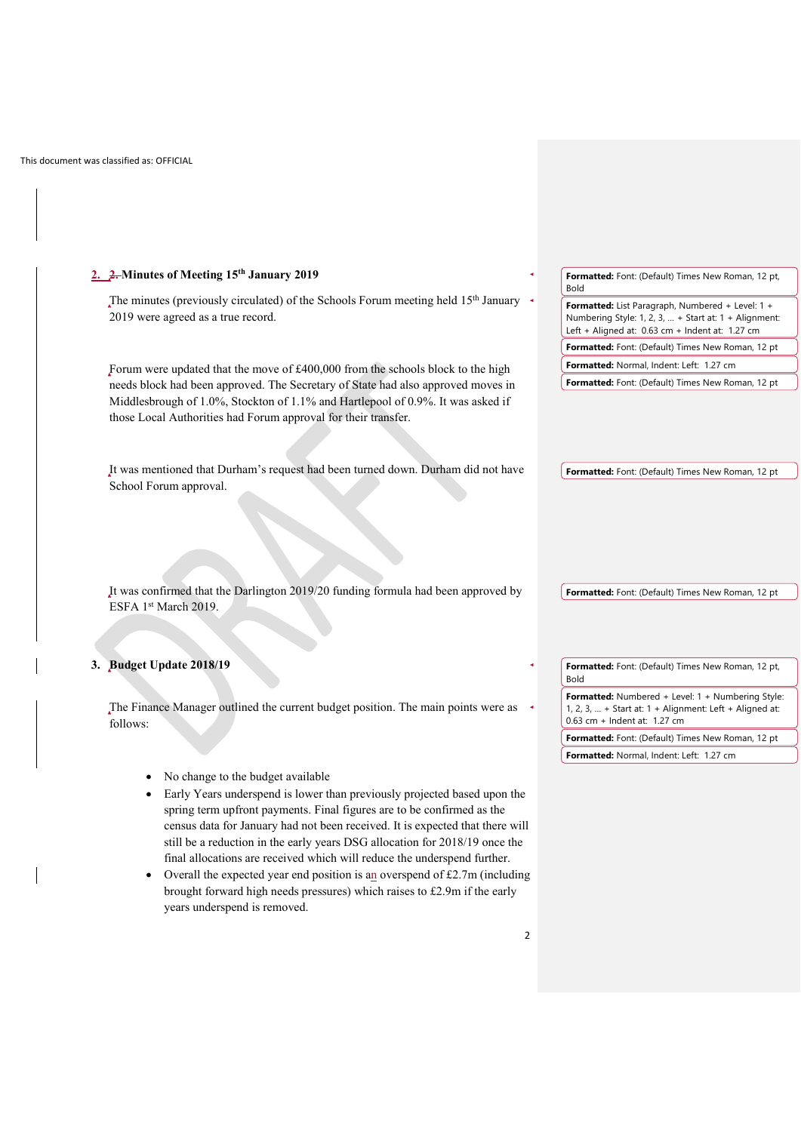$\begin{array}{c} \hline \end{array}$ 

| 2. 2. Minutes of Meeting 15th January 2019                                                                                                                            | Formatted: Font: (Default) Times New Roman, 12 pt,<br><b>Bold</b>                                                                                              |
|-----------------------------------------------------------------------------------------------------------------------------------------------------------------------|----------------------------------------------------------------------------------------------------------------------------------------------------------------|
| The minutes (previously circulated) of the Schools Forum meeting held 15 <sup>th</sup> January                                                                        |                                                                                                                                                                |
| 2019 were agreed as a true record.<br>Forum were updated that the move of £400,000 from the schools block to the high                                                 | Formatted: List Paragraph, Numbered + Level: 1 +<br>Numbering Style: 1, 2, 3,  + Start at: 1 + Alignment:<br>Left + Aligned at: $0.63$ cm + Indent at: 1.27 cm |
|                                                                                                                                                                       | Formatted: Font: (Default) Times New Roman, 12 pt                                                                                                              |
|                                                                                                                                                                       | Formatted: Normal, Indent: Left: 1.27 cm                                                                                                                       |
| needs block had been approved. The Secretary of State had also approved moves in                                                                                      | Formatted: Font: (Default) Times New Roman, 12 pt                                                                                                              |
| Middlesbrough of 1.0%, Stockton of 1.1% and Hartlepool of 0.9%. It was asked if                                                                                       |                                                                                                                                                                |
| those Local Authorities had Forum approval for their transfer.                                                                                                        |                                                                                                                                                                |
|                                                                                                                                                                       |                                                                                                                                                                |
|                                                                                                                                                                       |                                                                                                                                                                |
| It was mentioned that Durham's request had been turned down. Durham did not have                                                                                      | Formatted: Font: (Default) Times New Roman, 12 pt                                                                                                              |
| School Forum approval.                                                                                                                                                |                                                                                                                                                                |
|                                                                                                                                                                       |                                                                                                                                                                |
|                                                                                                                                                                       |                                                                                                                                                                |
|                                                                                                                                                                       |                                                                                                                                                                |
|                                                                                                                                                                       |                                                                                                                                                                |
|                                                                                                                                                                       |                                                                                                                                                                |
|                                                                                                                                                                       |                                                                                                                                                                |
|                                                                                                                                                                       |                                                                                                                                                                |
|                                                                                                                                                                       |                                                                                                                                                                |
| It was confirmed that the Darlington 2019/20 funding formula had been approved by                                                                                     |                                                                                                                                                                |
|                                                                                                                                                                       |                                                                                                                                                                |
| ESFA 1st March 2019.                                                                                                                                                  |                                                                                                                                                                |
|                                                                                                                                                                       |                                                                                                                                                                |
|                                                                                                                                                                       | Formatted: Font: (Default) Times New Roman, 12 pt                                                                                                              |
|                                                                                                                                                                       | Formatted: Font: (Default) Times New Roman, 12 pt,                                                                                                             |
|                                                                                                                                                                       | Bold                                                                                                                                                           |
|                                                                                                                                                                       |                                                                                                                                                                |
|                                                                                                                                                                       | Formatted: Numbered + Level: 1 + Numbering Style:<br>1, 2, 3,  + Start at: $1 +$ Alignment: Left + Aligned at:                                                 |
| The Finance Manager outlined the current budget position. The main points were as<br>follows:                                                                         | 0.63 cm + Indent at: 1.27 cm                                                                                                                                   |
|                                                                                                                                                                       |                                                                                                                                                                |
|                                                                                                                                                                       | Formatted: Font: (Default) Times New Roman, 12 pt<br>Formatted: Normal, Indent: Left: 1.27 cm                                                                  |
| No change to the budget available                                                                                                                                     |                                                                                                                                                                |
| 3. Budget Update 2018/19<br>Early Years underspend is lower than previously projected based upon the                                                                  |                                                                                                                                                                |
| spring term upfront payments. Final figures are to be confirmed as the                                                                                                |                                                                                                                                                                |
| census data for January had not been received. It is expected that there will                                                                                         |                                                                                                                                                                |
| still be a reduction in the early years DSG allocation for 2018/19 once the                                                                                           |                                                                                                                                                                |
|                                                                                                                                                                       |                                                                                                                                                                |
| final allocations are received which will reduce the underspend further.                                                                                              |                                                                                                                                                                |
| Overall the expected year end position is an overspend of $£2.7m$ (including<br>$\bullet$<br>brought forward high needs pressures) which raises to £2.9m if the early |                                                                                                                                                                |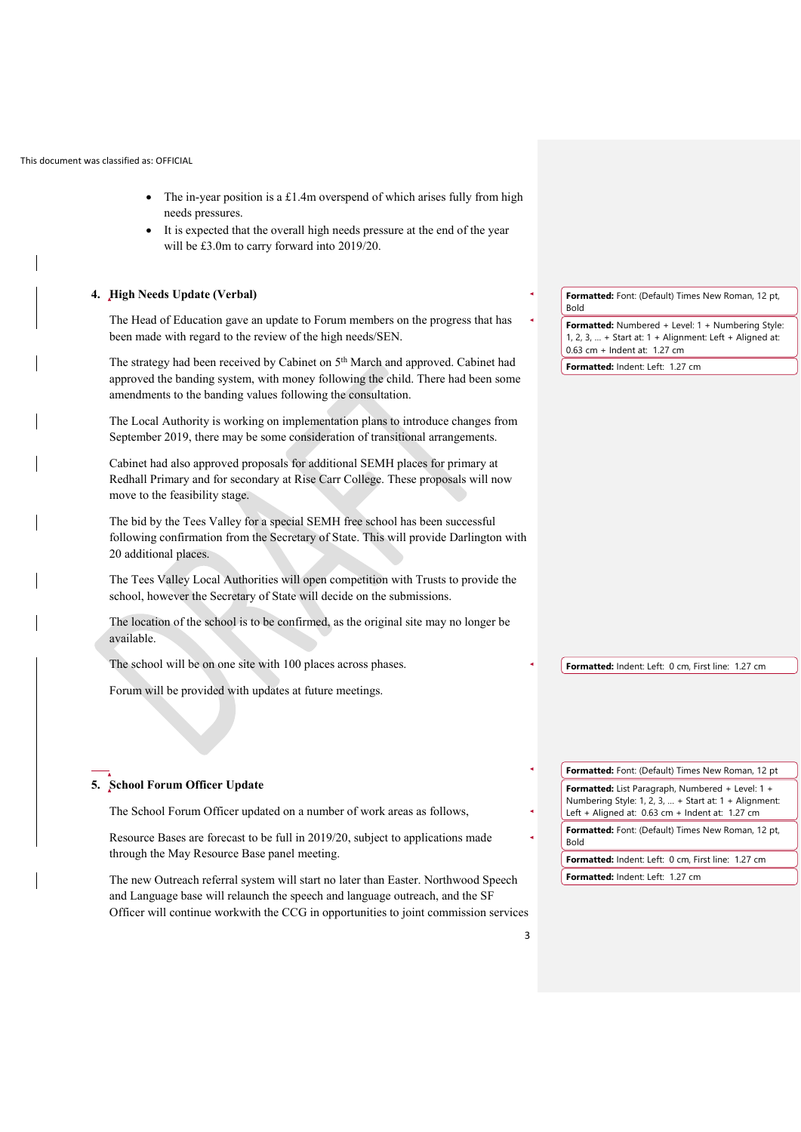- The in-year position is a  $£1.4m$  overspend of which arises fully from high needs pressures.
- It is expected that the overall high needs pressure at the end of the year will be £3.0m to carry forward into 2019/20.

### **4. High Needs Update (Verbal)**

The Head of Education gave an update to Forum members on the progress that has been made with regard to the review of the high needs/SEN.

The strategy had been received by Cabinet on 5<sup>th</sup> March and approved. Cabinet had approved the banding system, with money following the child. There had been some amendments to the banding values following the consultation.

The Local Authority is working on implementation plans to introduce changes from September 2019, there may be some consideration of transitional arrangements.

Cabinet had also approved proposals for additional SEMH places for primary at Redhall Primary and for secondary at Rise Carr College. These proposals will now move to the feasibility stage.

The bid by the Tees Valley for a special SEMH free school has been successful following confirmation from the Secretary of State. This will provide Darlington with 20 additional places.

The Tees Valley Local Authorities will open competition with Trusts to provide the school, however the Secretary of State will decide on the submissions.

The location of the school is to be confirmed, as the original site may no longer be available.

The School Forum Officer updated on a number of work areas as follows,

Resource Bases are forecast to be full in 2019/20, subject to applications made

The new Outreach referral system will start no later than Easter. Northwood Speech and Language base will relaunch the speech and language outreach, and the SF Officer will continue workwith the CCG in opportunities to joint commission services

The school will be on one site with 100 places across phases.

Forum will be provided with updates at future meetings.

through the May Resource Base panel meeting.

**5. School Forum Officer Update**

**Formatted:** Font: (Default) Times New Roman, 12 pt, Bold

**Formatted:** Numbered + Level: 1 + Numbering Style: 1, 2, 3, … + Start at: 1 + Alignment: Left + Aligned at: 0.63 cm + Indent at: 1.27 cm

**Formatted:** Indent: Left: 1.27 cm

**Formatted:** Indent: Left: 0 cm, First line: 1.27 cm

**Formatted:** Font: (Default) Times New Roman, 12 pt **Formatted:** List Paragraph, Numbered + Level: 1 + Numbering Style: 1, 2, 3, … + Start at: 1 + Alignment: Left + Aligned at: 0.63 cm + Indent at: 1.27 cm

**Formatted:** Font: (Default) Times New Roman, 12 pt, Bold

**Formatted:** Indent: Left: 0 cm, First line: 1.27 cm

**Formatted:** Indent: Left: 1.27 cm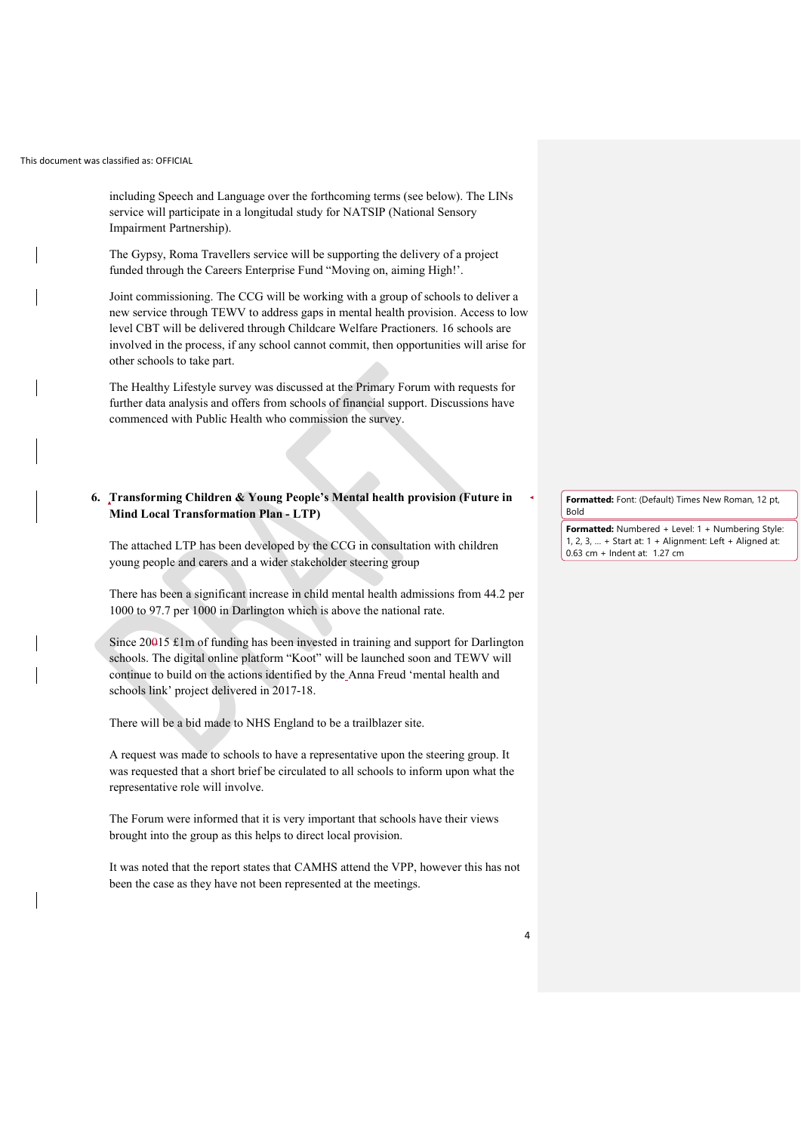including Speech and Language over the forthcoming terms (see below). The LINs service will participate in a longitudal study for NATSIP (National Sensory Impairment Partnership).

The Gypsy, Roma Travellers service will be supporting the delivery of a project funded through the Careers Enterprise Fund "Moving on, aiming High!'.

Joint commissioning. The CCG will be working with a group of schools to deliver a new service through TEWV to address gaps in mental health provision. Access to low level CBT will be delivered through Childcare Welfare Practioners. 16 schools are involved in the process, if any school cannot commit, then opportunities will arise for other schools to take part.

The Healthy Lifestyle survey was discussed at the Primary Forum with requests for further data analysis and offers from schools of financial support. Discussions have commenced with Public Health who commission the survey.

# **6. Transforming Children & Young People's Mental health provision (Future in Mind Local Transformation Plan - LTP)**

The attached LTP has been developed by the CCG in consultation with children young people and carers and a wider stakeholder steering group

There has been a significant increase in child mental health admissions from 44.2 per 1000 to 97.7 per 1000 in Darlington which is above the national rate.

Since 20015 £1m of funding has been invested in training and support for Darlington schools. The digital online platform "Koot" will be launched soon and TEWV will continue to build on the actions identified by the Anna Freud 'mental health and schools link' project delivered in 2017-18.

There will be a bid made to NHS England to be a trailblazer site.

A request was made to schools to have a representative upon the steering group. It was requested that a short brief be circulated to all schools to inform upon what the representative role will involve.

The Forum were informed that it is very important that schools have their views brought into the group as this helps to direct local provision.

It was noted that the report states that CAMHS attend the VPP, however this has not been the case as they have not been represented at the meetings.

**Formatted:** Font: (Default) Times New Roman, 12 pt, Bold

**Formatted:** Numbered + Level: 1 + Numbering Style: 1, 2, 3, … + Start at: 1 + Alignment: Left + Aligned at: 0.63 cm + Indent at: 1.27 cm